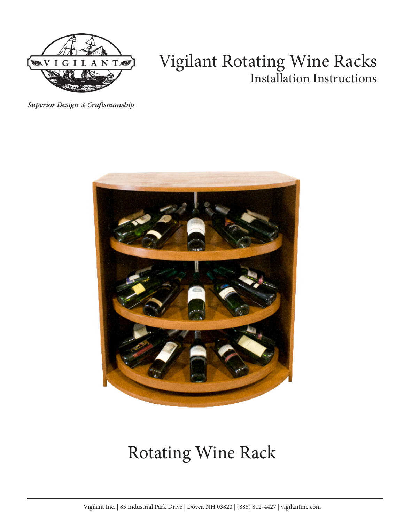

# Vigilant Rotating Wine Racks Installation Instructions

Superior Design & Craftsmanship



# Rotating Wine Rack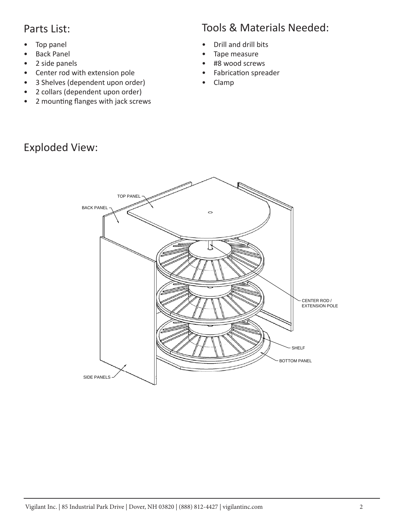#### Parts List:

- Top panel
- Back Panel
- 2 side panels
- Center rod with extension pole
- 3 Shelves (dependent upon order)
- 2 collars (dependent upon order)
- 2 mounting flanges with jack screws

#### Exploded View:

## Tools & Materials Needed:

- Drill and drill bits
- Tape measure
- #8 wood screws
- Fabrication spreader
- Clamp

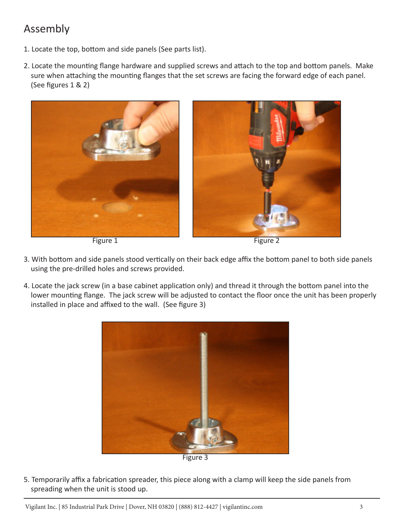## Assembly

- 1. Locate the top, bottom and side panels (See parts list).
- 2. Locate the mounting flange hardware and supplied screws and attach to the top and bottom panels. Make sure when attaching the mounting flanges that the set screws are facing the forward edge of each panel. (See figures 1 & 2)



Figure 1 Figure 2

- 3. With bottom and side panels stood vertically on their back edge affix the bottom panel to both side panels using the pre-drilled holes and screws provided.
- 4. Locate the jack screw (in a base cabinet application only) and thread it through the bottom panel into the lower mounting flange. The jack screw will be adjusted to contact the floor once the unit has been properly installed in place and affixed to the wall. (See figure 3)



5. Temporarily affix a fabrication spreader, this piece along with a clamp will keep the side panels from spreading when the unit is stood up.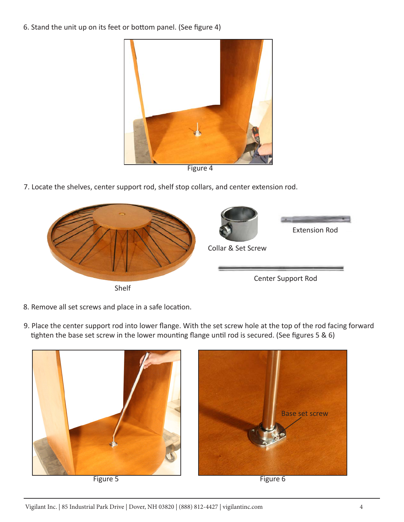6. Stand the unit up on its feet or bottom panel. (See figure 4)



Figure 4

7. Locate the shelves, center support rod, shelf stop collars, and center extension rod.



- 8. Remove all set screws and place in a safe location.
- 9. Place the center support rod into lower flange. With the set screw hole at the top of the rod facing forward tighten the base set screw in the lower mounting flange until rod is secured. (See figures 5 & 6)





Figure 5 Figure 6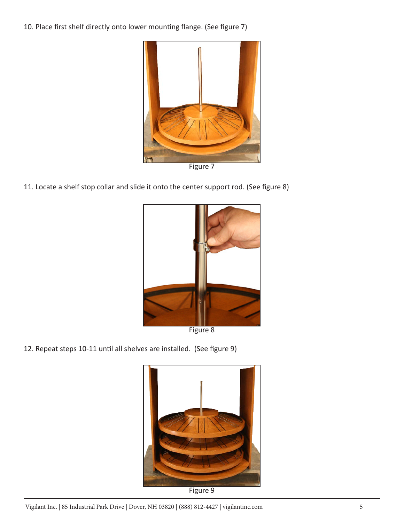10. Place first shelf directly onto lower mounting flange. (See figure 7)



Figure 7

11. Locate a shelf stop collar and slide it onto the center support rod. (See figure 8)



Figure 8

12. Repeat steps 10-11 until all shelves are installed. (See figure 9)



Figure 9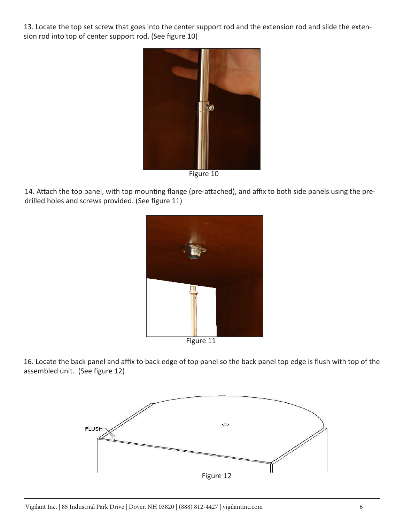13. Locate the top set screw that goes into the center support rod and the extension rod and slide the extension rod into top of center support rod. (See figure 10)



Figure 10

14. Attach the top panel, with top mounting flange (pre-attached), and affix to both side panels using the predrilled holes and screws provided. (See figure 11)



16. Locate the back panel and affix to back edge of top panel so the back panel top edge is flush with top of the assembled unit. (See figure 12)

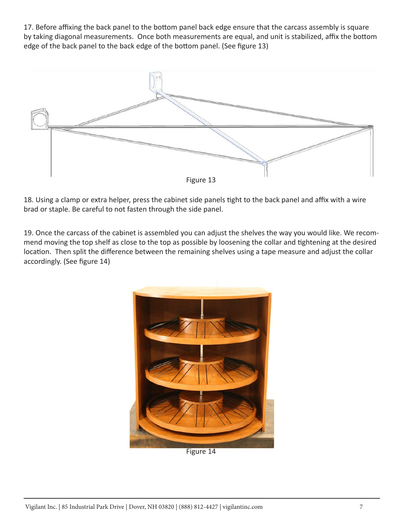17. Before affixing the back panel to the bottom panel back edge ensure that the carcass assembly is square by taking diagonal measurements. Once both measurements are equal, and unit is stabilized, affix the bottom edge of the back panel to the back edge of the bottom panel. (See figure 13)



18. Using a clamp or extra helper, press the cabinet side panels tight to the back panel and affix with a wire brad or staple. Be careful to not fasten through the side panel.

19. Once the carcass of the cabinet is assembled you can adjust the shelves the way you would like. We recommend moving the top shelf as close to the top as possible by loosening the collar and tightening at the desired location. Then split the difference between the remaining shelves using a tape measure and adjust the collar accordingly. (See figure 14)



Figure 14